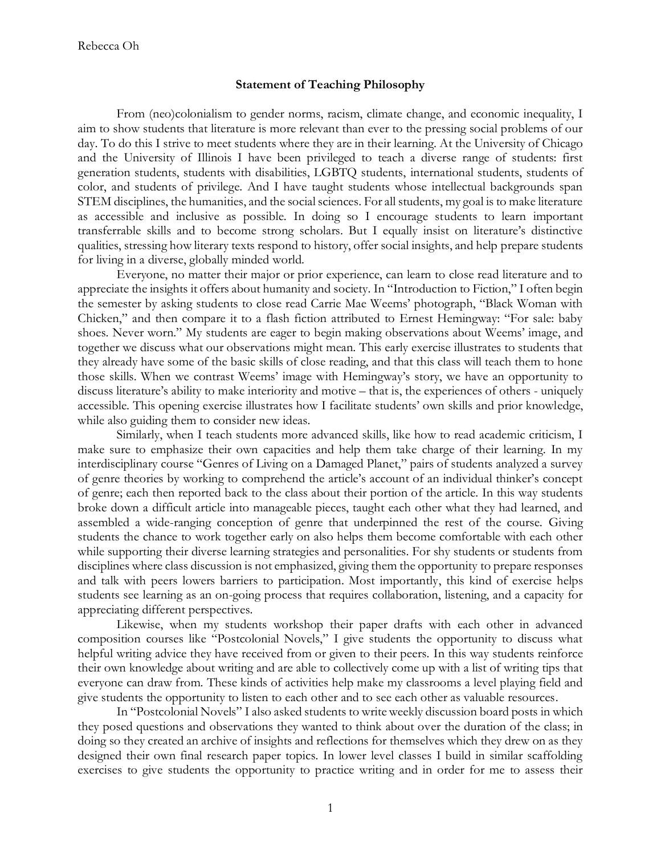## **Statement of Teaching Philosophy**

From (neo)colonialism to gender norms, racism, climate change, and economic inequality, I aim to show students that literature is more relevant than ever to the pressing social problems of our day. To do this I strive to meet students where they are in their learning. At the University of Chicago and the University of Illinois I have been privileged to teach a diverse range of students: first generation students, students with disabilities, LGBTQ students, international students, students of color, and students of privilege. And I have taught students whose intellectual backgrounds span STEM disciplines, the humanities, and the social sciences. For all students, my goal is to make literature as accessible and inclusive as possible. In doing so I encourage students to learn important transferrable skills and to become strong scholars. But I equally insist on literature's distinctive qualities, stressing how literary texts respond to history, offer social insights, and help prepare students for living in a diverse, globally minded world.

Everyone, no matter their major or prior experience, can learn to close read literature and to appreciate the insights it offers about humanity and society. In "Introduction to Fiction," I often begin the semester by asking students to close read Carrie Mae Weems' photograph, "Black Woman with Chicken," and then compare it to a flash fiction attributed to Ernest Hemingway: "For sale: baby shoes. Never worn." My students are eager to begin making observations about Weems' image, and together we discuss what our observations might mean. This early exercise illustrates to students that they already have some of the basic skills of close reading, and that this class will teach them to hone those skills. When we contrast Weems' image with Hemingway's story, we have an opportunity to discuss literature's ability to make interiority and motive – that is, the experiences of others - uniquely accessible. This opening exercise illustrates how I facilitate students' own skills and prior knowledge, while also guiding them to consider new ideas.

Similarly, when I teach students more advanced skills, like how to read academic criticism, I make sure to emphasize their own capacities and help them take charge of their learning. In my interdisciplinary course "Genres of Living on a Damaged Planet," pairs of students analyzed a survey of genre theories by working to comprehend the article's account of an individual thinker's concept of genre; each then reported back to the class about their portion of the article. In this way students broke down a difficult article into manageable pieces, taught each other what they had learned, and assembled a wide-ranging conception of genre that underpinned the rest of the course. Giving students the chance to work together early on also helps them become comfortable with each other while supporting their diverse learning strategies and personalities. For shy students or students from disciplines where class discussion is not emphasized, giving them the opportunity to prepare responses and talk with peers lowers barriers to participation. Most importantly, this kind of exercise helps students see learning as an on-going process that requires collaboration, listening, and a capacity for appreciating different perspectives.

Likewise, when my students workshop their paper drafts with each other in advanced composition courses like "Postcolonial Novels," I give students the opportunity to discuss what helpful writing advice they have received from or given to their peers. In this way students reinforce their own knowledge about writing and are able to collectively come up with a list of writing tips that everyone can draw from. These kinds of activities help make my classrooms a level playing field and give students the opportunity to listen to each other and to see each other as valuable resources.

In "Postcolonial Novels" I also asked students to write weekly discussion board posts in which they posed questions and observations they wanted to think about over the duration of the class; in doing so they created an archive of insights and reflections for themselves which they drew on as they designed their own final research paper topics. In lower level classes I build in similar scaffolding exercises to give students the opportunity to practice writing and in order for me to assess their